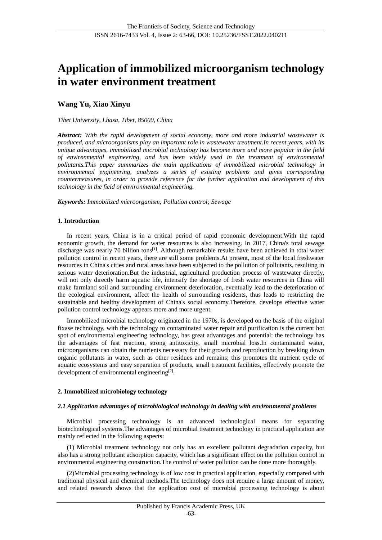# **Application of immobilized microorganism technology in water environment treatment**

# **Wang Yu, Xiao Xinyu**

#### *Tibet University, Lhasa, Tibet, 85000, China*

*Abstract: With the rapid development of social economy, more and more industrial wastewater is produced, and microorganisms play an important role in wastewater treatment.In recent years, with its unique advantages, immobilized microbial technology has become more and more popular in the field of environmental engineering, and has been widely used in the treatment of environmental pollutants.This paper summarizes the main applications of immobilized microbial technology in environmental engineering, analyzes a series of existing problems and gives corresponding countermeasures, in order to provide reference for the further application and development of this technology in the field of environmental engineering.*

*Keywords: Immobilized microorganism; Pollution control; Sewage*

#### **1. Introduction**

In recent years, China is in a critical period of rapid economic development.With the rapid economic growth, the demand for water resources is also increasing. In 2017, China's total sewage discharge was nearly 70 billion tons<sup>[1]</sup>. Although remarkable results have been achieved in total water pollution control in recent years, there are still some problems.At present, most of the local freshwater resources in China's cities and rural areas have been subjected to the pollution of pollutants, resulting in serious water deterioration.But the industrial, agricultural production process of wastewater directly, will not only directly harm aquatic life, intensify the shortage of fresh water resources in China will make farmland soil and surrounding environment deterioration, eventually lead to the deterioration of the ecological environment, affect the health of surrounding residents, thus leads to restricting the sustainable and healthy development of China's social economy.Therefore, develops effective water pollution control technology appears more and more urgent.

Immobilized microbial technology originated in the 1970s, is developed on the basis of the original fixase technology, with the technology to contaminated water repair and purification is the current hot spot of environmental engineering technology, has great advantages and potential: the technology has the advantages of fast reaction, strong antitoxicity, small microbial loss.In contaminated water, microorganisms can obtain the nutrients necessary for their growth and reproduction by breaking down organic pollutants in water, such as other residues and remains; this promotes the nutrient cycle of aquatic ecosystems and easy separation of products, small treatment facilities, effectively promote the development of environmental engineering<sup>[2]</sup>.

### **2. Immobilized microbiology technology**

#### *2.1 Application advantages of microbiological technology in dealing with environmental problems*

Microbial processing technology is an advanced technological means for separating biotechnological systems.The advantages of microbial treatment technology in practical application are mainly reflected in the following aspects:

(1) Microbial treatment technology not only has an excellent pollutant degradation capacity, but also has a strong pollutant adsorption capacity, which has a significant effect on the pollution control in environmental engineering construction.The control of water pollution can be done more thoroughly.

(2)Microbial processing technology is of low cost in practical application, especially compared with traditional physical and chemical methods.The technology does not require a large amount of money, and related research shows that the application cost of microbial processing technology is about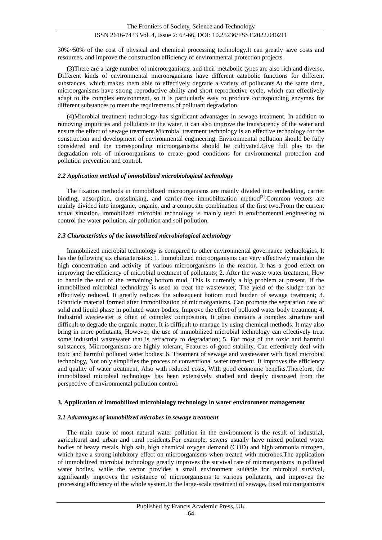## ISSN 2616-7433 Vol. 4, Issue 2: 63-66, DOI: 10.25236/FSST.2022.040211

30%~50% of the cost of physical and chemical processing technology.It can greatly save costs and resources, and improve the construction efficiency of environmental protection projects.

(3)There are a large number of microorganisms, and their metabolic types are also rich and diverse. Different kinds of environmental microorganisms have different catabolic functions for different substances, which makes them able to effectively degrade a variety of pollutants.At the same time, microorganisms have strong reproductive ability and short reproductive cycle, which can effectively adapt to the complex environment, so it is particularly easy to produce corresponding enzymes for different substances to meet the requirements of pollutant degradation.

(4)Microbial treatment technology has significant advantages in sewage treatment. In addition to removing impurities and pollutants in the water, it can also improve the transparency of the water and ensure the effect of sewage treatment.Microbial treatment technology is an effective technology for the construction and development of environmental engineering. Environmental pollution should be fully considered and the corresponding microorganisms should be cultivated.Give full play to the degradation role of microorganisms to create good conditions for environmental protection and pollution prevention and control.

#### *2.2 Application method of immobilized microbiological technology*

The fixation methods in immobilized microorganisms are mainly divided into embedding, carrier binding, adsorption, crosslinking, and carrier-free immobilization method<sup>[3]</sup>. Common vectors are mainly divided into inorganic, organic, and a composite combination of the first two.From the current actual situation, immobilized microbial technology is mainly used in environmental engineering to control the water pollution, air pollution and soil pollution.

#### *2.3 Characteristics of the immobilized microbiological technology*

Immobilized microbial technology is compared to other environmental governance technologies, It has the following six characteristics: 1. Immobilized microorganisms can very effectively maintain the high concentration and activity of various microorganisms in the reactor, It has a good effect on improving the efficiency of microbial treatment of pollutants; 2. After the waste water treatment, How to handle the end of the remaining bottom mud, This is currently a big problem at present, If the immobilized microbial technology is used to treat the wastewater, The yield of the sludge can be effectively reduced, It greatly reduces the subsequent bottom mud burden of sewage treatment; 3. Granticle material formed after immobilization of microorganisms, Can promote the separation rate of solid and liquid phase in polluted water bodies, Improve the effect of polluted water body treatment; 4. Industrial wastewater is often of complex composition, It often contains a complex structure and difficult to degrade the organic matter, It is difficult to manage by using chemical methods, It may also bring in more pollutants, However, the use of immobilized microbial technology can effectively treat some industrial wastewater that is refractory to degradation; 5. For most of the toxic and harmful substances, Microorganisms are highly tolerant, Features of good stability, Can effectively deal with toxic and harmful polluted water bodies; 6. Treatment of sewage and wastewater with fixed microbial technology, Not only simplifies the process of conventional water treatment, It improves the efficiency and quality of water treatment, Also with reduced costs, With good economic benefits.Therefore, the immobilized microbial technology has been extensively studied and deeply discussed from the perspective of environmental pollution control.

#### **3. Application of immobilized microbiology technology in water environment management**

#### *3.1 Advantages of immobilized microbes in sewage treatment*

The main cause of most natural water pollution in the environment is the result of industrial, agricultural and urban and rural residents.For example, sewers usually have mixed polluted water bodies of heavy metals, high salt, high chemical oxygen demand (COD) and high ammonia nitrogen, which have a strong inhibitory effect on microorganisms when treated with microbes.The application of immobilized microbial technology greatly improves the survival rate of microorganisms in polluted water bodies, while the vector provides a small environment suitable for microbial survival, significantly improves the resistance of microorganisms to various pollutants, and improves the processing efficiency of the whole system.In the large-scale treatment of sewage, fixed microorganisms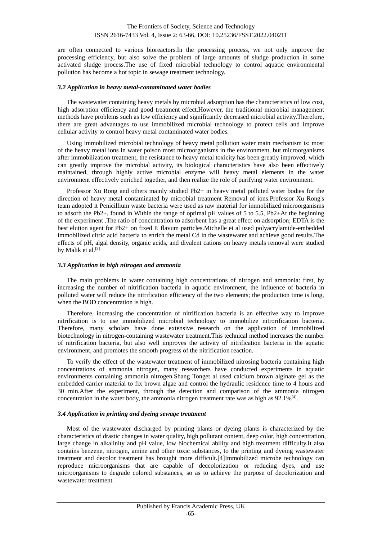are often connected to various bioreactors.In the processing process, we not only improve the processing efficiency, but also solve the problem of large amounts of sludge production in some activated sludge process.The use of fixed microbial technology to control aquatic environmental pollution has become a hot topic in sewage treatment technology.

#### *3.2 Application in heavy metal-contaminated water bodies*

The wastewater containing heavy metals by microbial adsorption has the characteristics of low cost, high adsorption efficiency and good treatment effect.However, the traditional microbial management methods have problems such as low efficiency and significantly decreased microbial activity.Therefore, there are great advantages to use immobilized microbial technology to protect cells and improve cellular activity to control heavy metal contaminated water bodies.

Using immobilized microbial technology of heavy metal pollution water main mechanism is: most of the heavy metal ions in water poison most microorganisms in the environment, but microorganisms after immobilization treatment, the resistance to heavy metal toxicity has been greatly improved, which can greatly improve the microbial activity, its biological characteristics have also been effectively maintained, through highly active microbial enzyme will heavy metal elements in the water environment effectively enriched together, and then realize the role of purifying water environment.

Professor Xu Rong and others mainly studied Pb2+ in heavy metal polluted water bodies for the direction of heavy metal contaminated by microbial treatment Removal of ions.Professor Xu Rong's team adopted it Penicillium waste bacteria were used as raw material for immobilized microorganisms to adsorb the Pb2+, found in Within the range of optimal pH values of 5 to 5.5, Pb2+At the beginning of the experiment .The ratio of concentration to adsorbent has a great effect on adsorption; EDTA is the best elution agent for Pb2+ on fixed P. flavum particles.Michelle et al used polyacrylamide-embedded immobilized citric acid bacteria to enrich the metal Cd in the wastewater and achieve good results.The effects of pH, algal density, organic acids, and divalent cations on heavy metals removal were studied by Malik et al.<sup>[3]</sup>

#### *3.3 Application in high nitrogen and ammonia*

The main problems in water containing high concentrations of nitrogen and ammonia: first, by increasing the number of nitrification bacteria in aquatic environment, the influence of bacteria in polluted water will reduce the nitrification efficiency of the two elements; the production time is long, when the BOD concentration is high.

Therefore, increasing the concentration of nitrification bacteria is an effective way to improve nitrification is to use immobilized microbial technology to immobilize nitrorification bacteria. Therefore, many scholars have done extensive research on the application of immobilized biotechnology in nitrogen-containing wastewater treatment.This technical method increases the number of nitrification bacteria, but also well improves the activity of nitrification bacteria in the aquatic environment, and promotes the smooth progress of the nitrification reaction.

To verify the effect of the wastewater treatment of immobilized nitrosing bacteria containing high concentrations of ammonia nitrogen, many researchers have conducted experiments in aquatic environments containing ammonia nitrogen.Shang Tonget al used calcium brown alginate gel as the embedded carrier material to fix brown algae and control the hydraulic residence time to 4 hours and 30 min.After the experiment, through the detection and comparison of the ammonia nitrogen concentration in the water body, the ammonia nitrogen treatment rate was as high as  $92.1\%$ <sup>[4]</sup>.

#### *3.4 Application in printing and dyeing sewage treatment*

Most of the wastewater discharged by printing plants or dyeing plants is characterized by the characteristics of drastic changes in water quality, high pollutant content, deep color, high concentration, large change in alkalinity and pH value, low biochemical ability and high treatment difficulty.It also contains benzene, nitrogen, amine and other toxic substances, to the printing and dyeing wastewater treatment and decolor treatment has brought more difficult.[4]Immobilized microbe technology can reproduce microorganisms that are capable of deccolorization or reducing dyes, and use microorganisms to degrade colored substances, so as to achieve the purpose of decolorization and wastewater treatment.